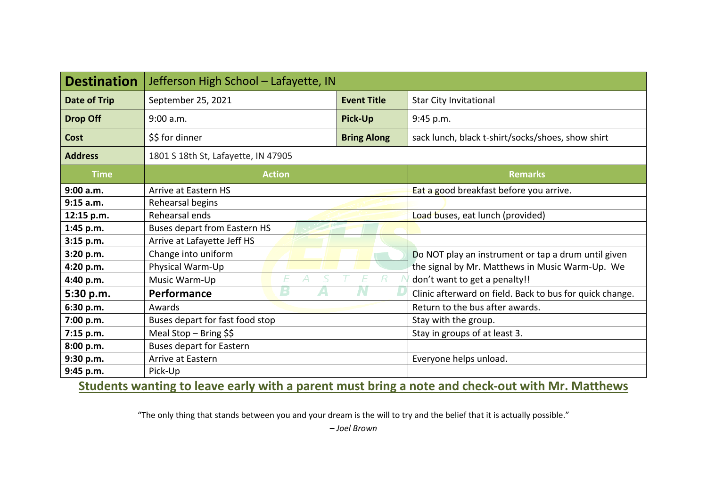| <b>Destination</b> | Jefferson High School - Lafayette, IN |                    |                                                          |  |  |  |  |  |  |  |
|--------------------|---------------------------------------|--------------------|----------------------------------------------------------|--|--|--|--|--|--|--|
| Date of Trip       | September 25, 2021                    | <b>Event Title</b> | <b>Star City Invitational</b>                            |  |  |  |  |  |  |  |
| <b>Drop Off</b>    | 9:00 a.m.                             | Pick-Up            | 9:45 p.m.                                                |  |  |  |  |  |  |  |
| Cost               | \$\$ for dinner                       | <b>Bring Along</b> | sack lunch, black t-shirt/socks/shoes, show shirt        |  |  |  |  |  |  |  |
| <b>Address</b>     | 1801 S 18th St, Lafayette, IN 47905   |                    |                                                          |  |  |  |  |  |  |  |
| <b>Time</b>        | <b>Action</b>                         |                    | <b>Remarks</b>                                           |  |  |  |  |  |  |  |
| 9:00 a.m.          | Arrive at Eastern HS                  |                    | Eat a good breakfast before you arrive.                  |  |  |  |  |  |  |  |
| 9:15 a.m.          | Rehearsal begins                      |                    |                                                          |  |  |  |  |  |  |  |
| 12:15 p.m.         | Rehearsal ends                        |                    | Load buses, eat lunch (provided)                         |  |  |  |  |  |  |  |
| 1:45 p.m.          | <b>Buses depart from Eastern HS</b>   |                    |                                                          |  |  |  |  |  |  |  |
| 3:15 p.m.          | Arrive at Lafayette Jeff HS           |                    |                                                          |  |  |  |  |  |  |  |
| 3:20 p.m.          | Change into uniform                   |                    | Do NOT play an instrument or tap a drum until given      |  |  |  |  |  |  |  |
| 4:20 p.m.          | Physical Warm-Up                      |                    | the signal by Mr. Matthews in Music Warm-Up. We          |  |  |  |  |  |  |  |
| 4:40 p.m.          | Music Warm-Up                         |                    | don't want to get a penalty!!                            |  |  |  |  |  |  |  |
| 5:30 p.m.          | Б<br>Performance                      |                    | Clinic afterward on field. Back to bus for quick change. |  |  |  |  |  |  |  |
| 6:30 p.m.          | Awards                                |                    | Return to the bus after awards.                          |  |  |  |  |  |  |  |
| 7:00 p.m.          | Buses depart for fast food stop       |                    | Stay with the group.                                     |  |  |  |  |  |  |  |
| 7:15 p.m.          | Meal Stop - Bring $$§$                |                    | Stay in groups of at least 3.                            |  |  |  |  |  |  |  |
| 8:00 p.m.          | <b>Buses depart for Eastern</b>       |                    |                                                          |  |  |  |  |  |  |  |
| 9:30 p.m.          | Arrive at Eastern                     |                    | Everyone helps unload.                                   |  |  |  |  |  |  |  |
| 9:45 p.m.          | Pick-Up                               |                    |                                                          |  |  |  |  |  |  |  |

**Students wanting to leave early with a parent must bring a note and check-out with Mr. Matthews**

"The only thing that stands between you and your dream is the will to try and the belief that it is actually possible."

**–** *Joel Brown*